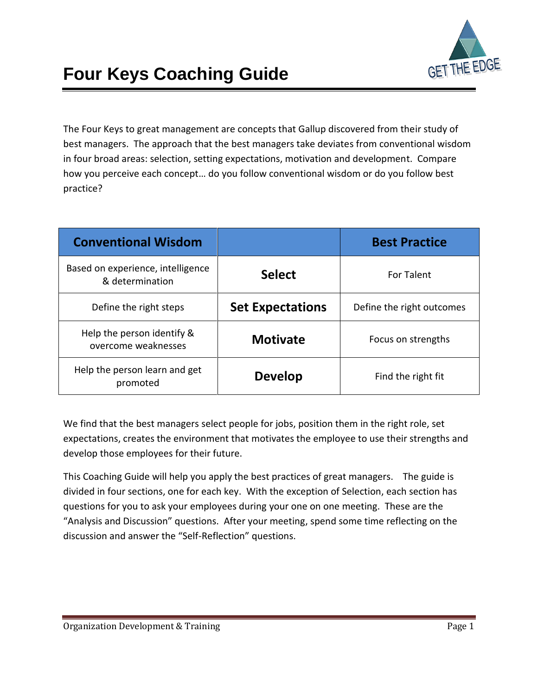

The Four Keys to great management are concepts that Gallup discovered from their study of best managers. The approach that the best managers take deviates from conventional wisdom in four broad areas: selection, setting expectations, motivation and development. Compare how you perceive each concept… do you follow conventional wisdom or do you follow best practice?

| <b>Conventional Wisdom</b>                           |                         | <b>Best Practice</b>      |
|------------------------------------------------------|-------------------------|---------------------------|
| Based on experience, intelligence<br>& determination | <b>Select</b>           | <b>For Talent</b>         |
| Define the right steps                               | <b>Set Expectations</b> | Define the right outcomes |
| Help the person identify &<br>overcome weaknesses    | <b>Motivate</b>         | Focus on strengths        |
| Help the person learn and get<br>promoted            | <b>Develop</b>          | Find the right fit        |

We find that the best managers select people for jobs, position them in the right role, set expectations, creates the environment that motivates the employee to use their strengths and develop those employees for their future.

This Coaching Guide will help you apply the best practices of great managers. The guide is divided in four sections, one for each key. With the exception of Selection, each section has questions for you to ask your employees during your one on one meeting. These are the "Analysis and Discussion" questions. After your meeting, spend some time reflecting on the discussion and answer the "Self-Reflection" questions.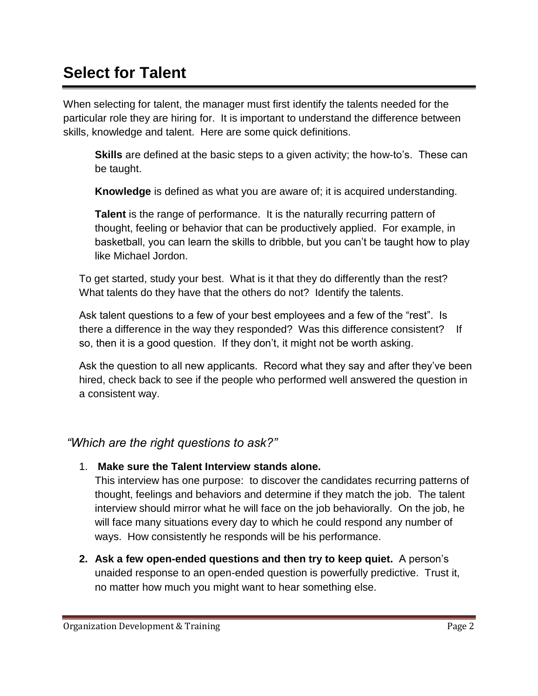## **Select for Talent**

When selecting for talent, the manager must first identify the talents needed for the particular role they are hiring for. It is important to understand the difference between skills, knowledge and talent. Here are some quick definitions.

**Skills** are defined at the basic steps to a given activity; the how-to's. These can be taught.

**Knowledge** is defined as what you are aware of; it is acquired understanding.

**Talent** is the range of performance. It is the naturally recurring pattern of thought, feeling or behavior that can be productively applied. For example, in basketball, you can learn the skills to dribble, but you can't be taught how to play like Michael Jordon.

To get started, study your best. What is it that they do differently than the rest? What talents do they have that the others do not? Identify the talents.

Ask talent questions to a few of your best employees and a few of the "rest". Is there a difference in the way they responded? Was this difference consistent? If so, then it is a good question. If they don't, it might not be worth asking.

Ask the question to all new applicants. Record what they say and after they've been hired, check back to see if the people who performed well answered the question in a consistent way.

### *"Which are the right questions to ask?"*

1. **Make sure the Talent Interview stands alone.**

This interview has one purpose: to discover the candidates recurring patterns of thought, feelings and behaviors and determine if they match the job. The talent interview should mirror what he will face on the job behaviorally. On the job, he will face many situations every day to which he could respond any number of ways. How consistently he responds will be his performance.

**2. Ask a few open-ended questions and then try to keep quiet.** A person's unaided response to an open-ended question is powerfully predictive. Trust it, no matter how much you might want to hear something else.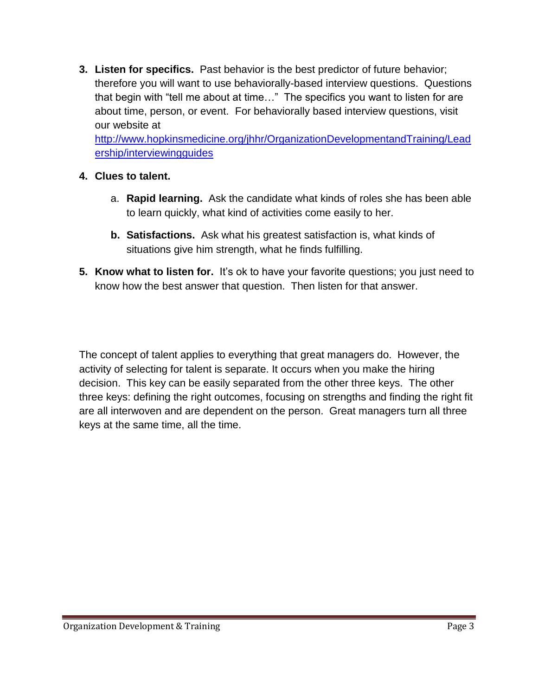**3. Listen for specifics.** Past behavior is the best predictor of future behavior; therefore you will want to use behaviorally-based interview questions. Questions that begin with "tell me about at time…" The specifics you want to listen for are about time, person, or event. For behaviorally based interview questions, visit our website at

[http://www.hopkinsmedicine.org/jhhr/OrganizationDevelopmentandTraining/Lead](http://www.hopkinsmedicine.org/jhhr/OrganizationDevelopmentandTraining/Leadership/interviewingguides) [ership/interviewingguides](http://www.hopkinsmedicine.org/jhhr/OrganizationDevelopmentandTraining/Leadership/interviewingguides)

#### **4. Clues to talent.**

- a. **Rapid learning.** Ask the candidate what kinds of roles she has been able to learn quickly, what kind of activities come easily to her.
- **b. Satisfactions.** Ask what his greatest satisfaction is, what kinds of situations give him strength, what he finds fulfilling.
- **5. Know what to listen for.** It's ok to have your favorite questions; you just need to know how the best answer that question. Then listen for that answer.

The concept of talent applies to everything that great managers do. However, the activity of selecting for talent is separate. It occurs when you make the hiring decision. This key can be easily separated from the other three keys. The other three keys: defining the right outcomes, focusing on strengths and finding the right fit are all interwoven and are dependent on the person. Great managers turn all three keys at the same time, all the time.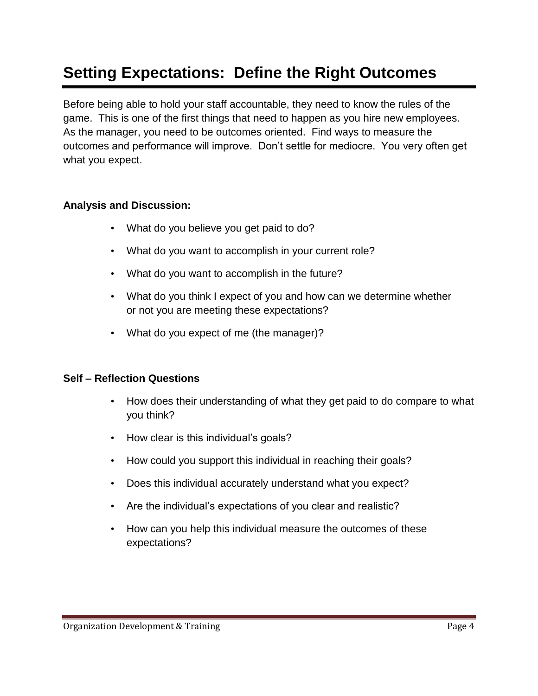## **Setting Expectations: Define the Right Outcomes**

Before being able to hold your staff accountable, they need to know the rules of the game. This is one of the first things that need to happen as you hire new employees. As the manager, you need to be outcomes oriented. Find ways to measure the outcomes and performance will improve. Don't settle for mediocre. You very often get what you expect.

#### **Analysis and Discussion:**

- What do you believe you get paid to do?
- What do you want to accomplish in your current role?
- What do you want to accomplish in the future?
- What do you think I expect of you and how can we determine whether or not you are meeting these expectations?
- What do you expect of me (the manager)?

#### **Self – Reflection Questions**

- How does their understanding of what they get paid to do compare to what you think?
- How clear is this individual's goals?
- How could you support this individual in reaching their goals?
- Does this individual accurately understand what you expect?
- Are the individual's expectations of you clear and realistic?
- How can you help this individual measure the outcomes of these expectations?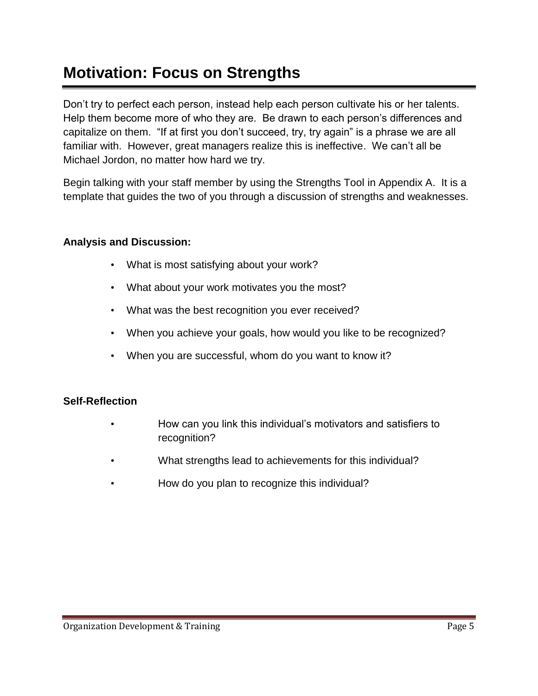## **Motivation: Focus on Strengths**

Don't try to perfect each person, instead help each person cultivate his or her talents. Help them become more of who they are. Be drawn to each person's differences and capitalize on them. "If at first you don't succeed, try, try again" is a phrase we are all familiar with. However, great managers realize this is ineffective. We can't all be Michael Jordon, no matter how hard we try.

Begin talking with your staff member by using the Strengths Tool in Appendix A. It is a template that guides the two of you through a discussion of strengths and weaknesses.

#### **Analysis and Discussion:**

- What is most satisfying about your work?
- What about your work motivates you the most?
- What was the best recognition you ever received?
- When you achieve your goals, how would you like to be recognized?
- When you are successful, whom do you want to know it?

#### **Self-Reflection**

- How can you link this individual's motivators and satisfiers to recognition?
- What strengths lead to achievements for this individual?
- How do you plan to recognize this individual?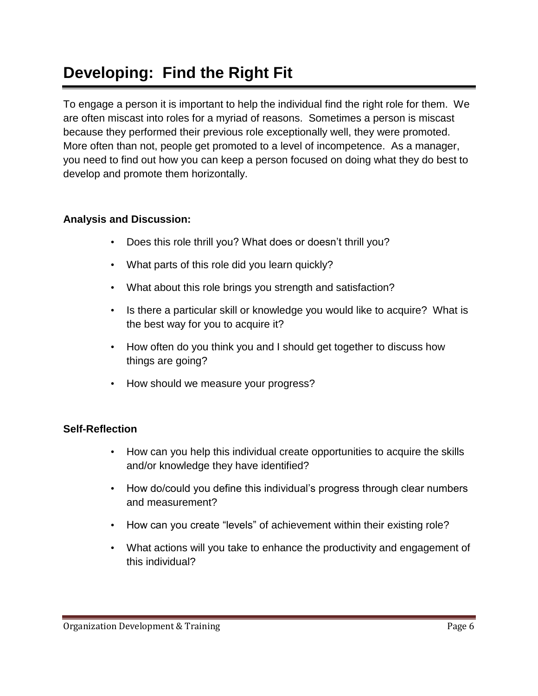## **Developing: Find the Right Fit**

To engage a person it is important to help the individual find the right role for them. We are often miscast into roles for a myriad of reasons. Sometimes a person is miscast because they performed their previous role exceptionally well, they were promoted. More often than not, people get promoted to a level of incompetence. As a manager, you need to find out how you can keep a person focused on doing what they do best to develop and promote them horizontally.

#### **Analysis and Discussion:**

- Does this role thrill you? What does or doesn't thrill you?
- What parts of this role did you learn quickly?
- What about this role brings you strength and satisfaction?
- Is there a particular skill or knowledge you would like to acquire? What is the best way for you to acquire it?
- How often do you think you and I should get together to discuss how things are going?
- How should we measure your progress?

#### **Self-Reflection**

- How can you help this individual create opportunities to acquire the skills and/or knowledge they have identified?
- How do/could you define this individual's progress through clear numbers and measurement?
- How can you create "levels" of achievement within their existing role?
- What actions will you take to enhance the productivity and engagement of this individual?